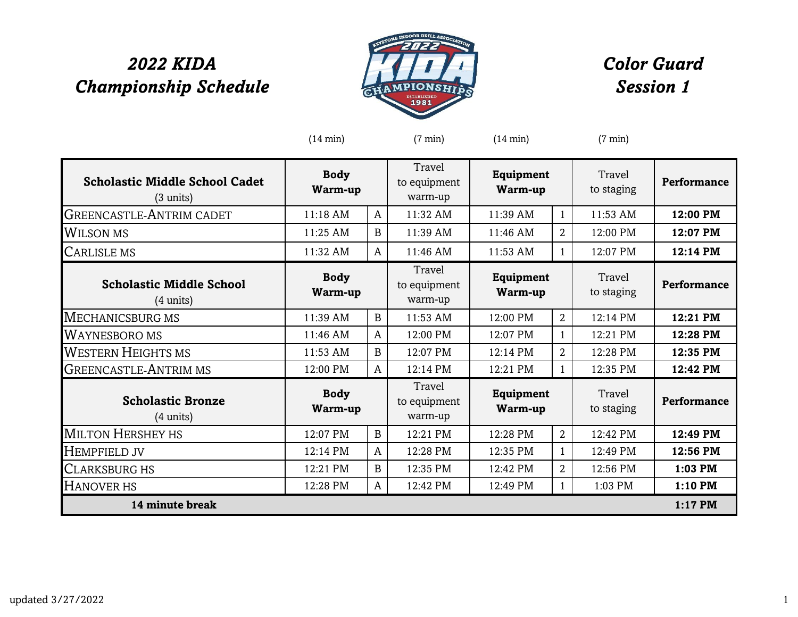## *2022 KIDA Championship Schedule*



## *Color Guard Session 1*

|                                                              | $(14 \text{ min})$     |              | $(7 \text{ min})$                 | $(14 \text{ min})$          |                | $(7 \text{ min})$    |             |
|--------------------------------------------------------------|------------------------|--------------|-----------------------------------|-----------------------------|----------------|----------------------|-------------|
| <b>Scholastic Middle School Cadet</b><br>$(3 \text{ units})$ | <b>Body</b><br>Warm-up |              | Travel<br>to equipment<br>warm-up | <b>Equipment</b><br>Warm-up |                | Travel<br>to staging | Performance |
| <b>GREENCASTLE-ANTRIM CADET</b>                              | 11:18 AM               | $\mathsf{A}$ | 11:32 AM                          | 11:39 AM                    | $\mathbf{1}$   | 11:53 AM             | 12:00 PM    |
| <b>WILSON MS</b>                                             | 11:25 AM               | B            | 11:39 AM                          | 11:46 AM                    | $\overline{2}$ | 12:00 PM             | 12:07 PM    |
| CARLISLE MS                                                  | 11:32 AM               | A            | 11:46 AM                          | 11:53 AM                    | $\mathbf{1}$   | 12:07 PM             | 12:14 PM    |
| <b>Scholastic Middle School</b><br>$(4 \text{ units})$       | <b>Body</b><br>Warm-up |              | Travel<br>to equipment<br>warm-up | <b>Equipment</b><br>Warm-up |                | Travel<br>to staging | Performance |
| <b>MECHANICSBURG MS</b>                                      | 11:39 AM               | $\mathbf{B}$ | 11:53 AM                          | 12:00 PM                    | $\overline{2}$ | 12:14 PM             | 12:21 PM    |
| <b>WAYNESBORO MS</b>                                         | 11:46 AM               | $\mathsf{A}$ | 12:00 PM                          | 12:07 PM                    | $\mathbf{1}$   | 12:21 PM             | 12:28 PM    |
| <b>WESTERN HEIGHTS MS</b>                                    | 11:53 AM               | B            | 12:07 PM                          | 12:14 PM                    | $\overline{2}$ | 12:28 PM             | 12:35 PM    |
| <b>GREENCASTLE-ANTRIM MS</b>                                 | 12:00 PM               | $\mathsf{A}$ | 12:14 PM                          | 12:21 PM                    | 1              | 12:35 PM             | 12:42 PM    |
| <b>Scholastic Bronze</b><br>$(4 \text{ units})$              | <b>Body</b><br>Warm-up |              | Travel<br>to equipment<br>warm-up | Equipment<br>Warm-up        |                | Travel<br>to staging | Performance |
| <b>MILTON HERSHEY HS</b>                                     | 12:07 PM               | $\mathbf B$  | 12:21 PM                          | 12:28 PM                    | $\overline{2}$ | 12:42 PM             | 12:49 PM    |
| <b>HEMPFIELD JV</b>                                          | 12:14 PM               | A            | 12:28 PM                          | 12:35 PM                    | 1              | 12:49 PM             | 12:56 PM    |
| <b>CLARKSBURG HS</b>                                         | 12:21 PM               | B            | 12:35 PM                          | 12:42 PM                    | $\overline{2}$ | 12:56 PM             | 1:03 PM     |
| HANOVER HS                                                   | 12:28 PM               | A            | 12:42 PM                          | 12:49 PM                    | 1              | 1:03 PM              | 1:10 PM     |
| 14 minute break                                              |                        |              |                                   |                             |                |                      | 1:17 PM     |